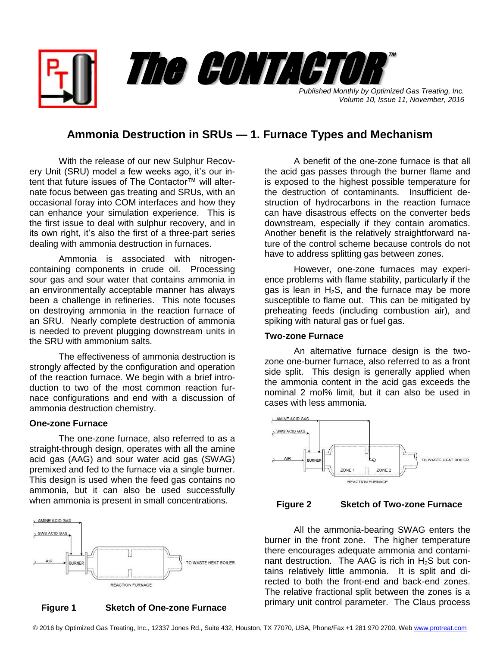

*Published Monthly by Optimized Gas Treating, Inc. Volume 10, Issue 11, November, 2016*

# **Ammonia Destruction in SRUs — 1. Furnace Types and Mechanism**

With the release of our new Sulphur Recovery Unit (SRU) model a few weeks ago, it's our intent that future issues of The Contactor™ will alternate focus between gas treating and SRUs, with an occasional foray into COM interfaces and how they can enhance your simulation experience. This is the first issue to deal with sulphur recovery, and in its own right, it's also the first of a three-part series dealing with ammonia destruction in furnaces.

Ammonia is associated with nitrogencontaining components in crude oil. Processing sour gas and sour water that contains ammonia in an environmentally acceptable manner has always been a challenge in refineries. This note focuses on destroying ammonia in the reaction furnace of an SRU. Nearly complete destruction of ammonia is needed to prevent plugging downstream units in the SRU with ammonium salts.

The effectiveness of ammonia destruction is strongly affected by the configuration and operation of the reaction furnace. We begin with a brief introduction to two of the most common reaction furnace configurations and end with a discussion of ammonia destruction chemistry.

#### **One-zone Furnace**

The one-zone furnace, also referred to as a straight-through design, operates with all the amine acid gas (AAG) and sour water acid gas (SWAG) premixed and fed to the furnace via a single burner. This design is used when the feed gas contains no ammonia, but it can also be used successfully when ammonia is present in small concentrations.





A benefit of the one-zone furnace is that all the acid gas passes through the burner flame and is exposed to the highest possible temperature for the destruction of contaminants. Insufficient destruction of hydrocarbons in the reaction furnace can have disastrous effects on the converter beds downstream, especially if they contain aromatics. Another benefit is the relatively straightforward nature of the control scheme because controls do not have to address splitting gas between zones.

However, one-zone furnaces may experience problems with flame stability, particularly if the gas is lean in  $H_2S$ , and the furnace may be more susceptible to flame out. This can be mitigated by preheating feeds (including combustion air), and spiking with natural gas or fuel gas.

## **Two-zone Furnace**

An alternative furnace design is the twozone one-burner furnace, also referred to as a front side split. This design is generally applied when the ammonia content in the acid gas exceeds the nominal 2 mol% limit, but it can also be used in cases with less ammonia.



# **Figure 2 Sketch of Two-zone Furnace**

 All the ammonia-bearing SWAG enters the burner in the front zone. The higher temperature there encourages adequate ammonia and contaminant destruction. The AAG is rich in  $H_2S$  but contains relatively little ammonia. It is split and directed to both the front-end and back-end zones. The relative fractional split between the zones is a primary unit control parameter. The Claus process